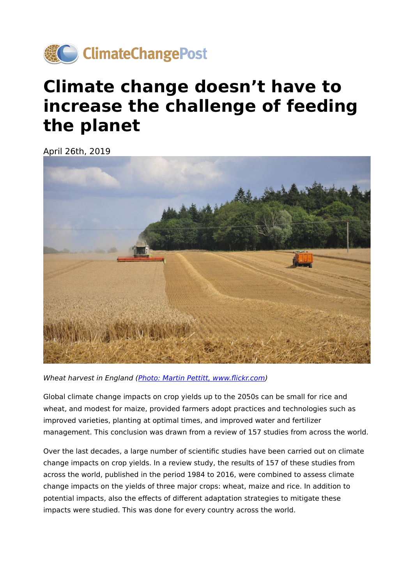

# **Climate change doesn't have to increase the challenge of feeding the planet**

April 26th, 2019



Wheat harvest in England ([Photo: Martin Pettitt, www.](https://www.flickr.com/photos/mdpettitt/14679975549/in/photolist-ondHhH-bqe4uN-NYXefk-hbxbou-aC4DtE-abS2F4-fvg2At-fvvq6m-iPoEB-onkqXz-fUjpxH-29YxCYd-hcZ1rQ-28cwLWh-hbxhm3-ha6SAw-fvfXf4-fvvnp1-4HtpGB-5Ayksn-oFAk4r-FcmzHk-hcswr8-9UgZ2m-aa23Hz-5gcd3q-hBd89n-hVorpv-aADPdj-5otzJk-7efDgp-iPoFK-6BNkbN-acDs1z-fpWk8z-6U9qpm-oM9j9A-28uFVXp-4YBt9j-59rJHW-9z5MhV-9Gvvi4-HfUDqP-7qurRM-64dNbX-26VrwVh-hbyrMc-5oJvSi-domPFR-ayJw97)flickr.com)

Global climate change impacts on crop yields up to the 2050s can be small for rice and wheat, and modest for maize, provided farmers adopt practices and technologies such as improved varieties, planting at optimal times, and improved water and fertilizer management. This conclusion was drawn from a review of 157 studies from across the world.

Over the last decades, a large number of scientific studies have been carried out on climate change impacts on crop yields. In a review study, the results of 157 of these studies from across the world, published in the period 1984 to 2016, were combined to assess climate change impacts on the yields of three major crops: wheat, maize and rice. In addition to potential impacts, also the effects of different adaptation strategies to mitigate these impacts were studied. This was done for every country across the world.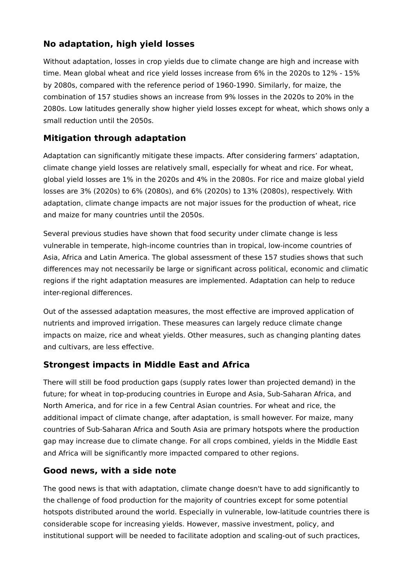### **No adaptation, high yield losses**

Without adaptation, losses in crop yields due to climate change are high and increase with time. Mean global wheat and rice yield losses increase from 6% in the 2020s to 12% - 15% by 2080s, compared with the reference period of 1960-1990. Similarly, for maize, the combination of 157 studies shows an increase from 9% losses in the 2020s to 20% in the 2080s. Low latitudes generally show higher yield losses except for wheat, which shows only a small reduction until the 2050s.

## **Mitigation through adaptation**

Adaptation can significantly mitigate these impacts. After considering farmers' adaptation, climate change yield losses are relatively small, especially for wheat and rice. For wheat, global yield losses are 1% in the 2020s and 4% in the 2080s. For rice and maize global yield losses are 3% (2020s) to 6% (2080s), and 6% (2020s) to 13% (2080s), respectively. With adaptation, climate change impacts are not major issues for the production of wheat, rice and maize for many countries until the 2050s.

Several previous studies have shown that food security under climate change is less vulnerable in temperate, high-income countries than in tropical, low-income countries of Asia, Africa and Latin America. The global assessment of these 157 studies shows that such differences may not necessarily be large or significant across political, economic and climatic regions if the right adaptation measures are implemented. Adaptation can help to reduce inter-regional differences.

Out of the assessed adaptation measures, the most effective are improved application of nutrients and improved irrigation. These measures can largely reduce climate change impacts on maize, rice and wheat yields. Other measures, such as changing planting dates and cultivars, are less effective.

#### **Strongest impacts in Middle East and Africa**

There will still be food production gaps (supply rates lower than projected demand) in the future; for wheat in top-producing countries in Europe and Asia, Sub-Saharan Africa, and North America, and for rice in a few Central Asian countries. For wheat and rice, the additional impact of climate change, after adaptation, is small however. For maize, many countries of Sub-Saharan Africa and South Asia are primary hotspots where the production gap may increase due to climate change. For all crops combined, yields in the Middle East and Africa will be significantly more impacted compared to other regions.

#### **Good news, with a side note**

The good news is that with adaptation, climate change doesn't have to add significantly to the challenge of food production for the majority of countries except for some potential hotspots distributed around the world. Especially in vulnerable, low-latitude countries there is considerable scope for increasing yields. However, massive investment, policy, and institutional support will be needed to facilitate adoption and scaling-out of such practices,